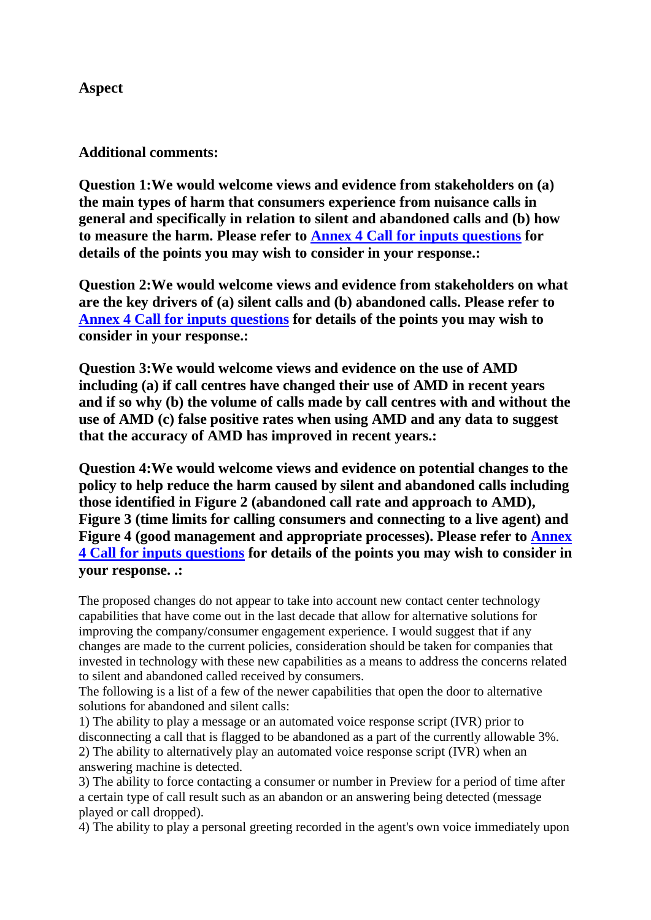## **Aspect**

## **Additional comments:**

**Question 1:We would welcome views and evidence from stakeholders on (a) the main types of harm that consumers experience from nuisance calls in general and specifically in relation to silent and abandoned calls and (b) how to measure the harm. Please refer to Annex 4 Call for inputs questions for details of the points you may wish to consider in your response.:**

**Question 2:We would welcome views and evidence from stakeholders on what are the key drivers of (a) silent calls and (b) abandoned calls. Please refer to Annex 4 Call for inputs questions for details of the points you may wish to consider in your response.:**

**Question 3:We would welcome views and evidence on the use of AMD including (a) if call centres have changed their use of AMD in recent years and if so why (b) the volume of calls made by call centres with and without the use of AMD (c) false positive rates when using AMD and any data to suggest that the accuracy of AMD has improved in recent years.:**

**Question 4:We would welcome views and evidence on potential changes to the policy to help reduce the harm caused by silent and abandoned calls including those identified in Figure 2 (abandoned call rate and approach to AMD), Figure 3 (time limits for calling consumers and connecting to a live agent) and Figure 4 (good management and appropriate processes). Please refer to Annex 4 Call for inputs questions for details of the points you may wish to consider in your response. .:**

The proposed changes do not appear to take into account new contact center technology capabilities that have come out in the last decade that allow for alternative solutions for improving the company/consumer engagement experience. I would suggest that if any changes are made to the current policies, consideration should be taken for companies that invested in technology with these new capabilities as a means to address the concerns related to silent and abandoned called received by consumers.

The following is a list of a few of the newer capabilities that open the door to alternative solutions for abandoned and silent calls:

1) The ability to play a message or an automated voice response script (IVR) prior to disconnecting a call that is flagged to be abandoned as a part of the currently allowable 3%. 2) The ability to alternatively play an automated voice response script (IVR) when an answering machine is detected.

3) The ability to force contacting a consumer or number in Preview for a period of time after a certain type of call result such as an abandon or an answering being detected (message played or call dropped).

4) The ability to play a personal greeting recorded in the agent's own voice immediately upon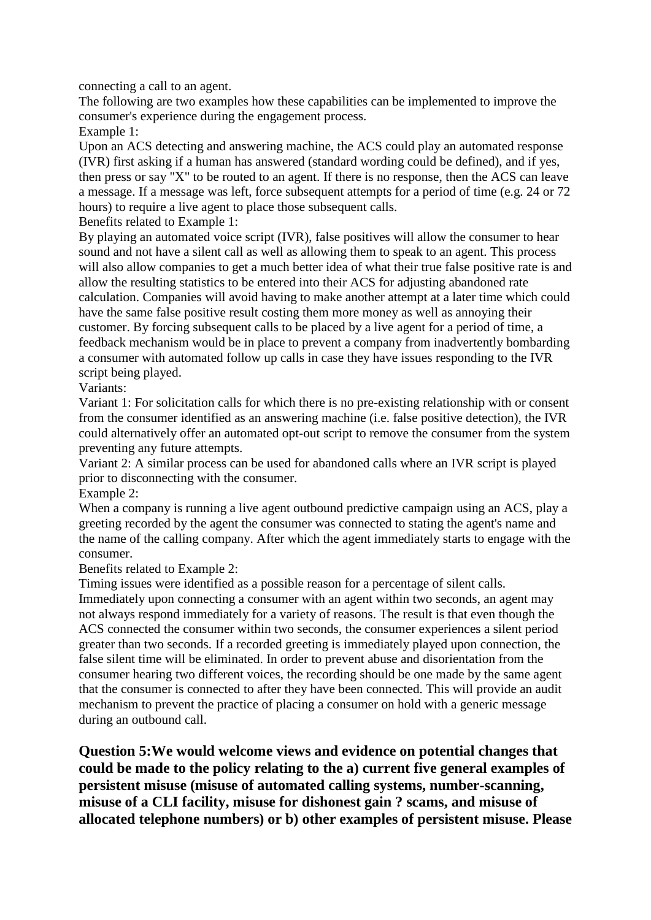connecting a call to an agent.

The following are two examples how these capabilities can be implemented to improve the consumer's experience during the engagement process.

Example 1:

Upon an ACS detecting and answering machine, the ACS could play an automated response (IVR) first asking if a human has answered (standard wording could be defined), and if yes, then press or say "X" to be routed to an agent. If there is no response, then the ACS can leave a message. If a message was left, force subsequent attempts for a period of time (e.g. 24 or 72 hours) to require a live agent to place those subsequent calls.

Benefits related to Example 1:

By playing an automated voice script (IVR), false positives will allow the consumer to hear sound and not have a silent call as well as allowing them to speak to an agent. This process will also allow companies to get a much better idea of what their true false positive rate is and allow the resulting statistics to be entered into their ACS for adjusting abandoned rate calculation. Companies will avoid having to make another attempt at a later time which could have the same false positive result costing them more money as well as annoying their customer. By forcing subsequent calls to be placed by a live agent for a period of time, a feedback mechanism would be in place to prevent a company from inadvertently bombarding a consumer with automated follow up calls in case they have issues responding to the IVR script being played.

Variants:

Variant 1: For solicitation calls for which there is no pre-existing relationship with or consent from the consumer identified as an answering machine (i.e. false positive detection), the IVR could alternatively offer an automated opt-out script to remove the consumer from the system preventing any future attempts.

Variant 2: A similar process can be used for abandoned calls where an IVR script is played prior to disconnecting with the consumer.

Example 2:

When a company is running a live agent outbound predictive campaign using an ACS, play a greeting recorded by the agent the consumer was connected to stating the agent's name and the name of the calling company. After which the agent immediately starts to engage with the consumer.

Benefits related to Example 2:

Timing issues were identified as a possible reason for a percentage of silent calls.

Immediately upon connecting a consumer with an agent within two seconds, an agent may not always respond immediately for a variety of reasons. The result is that even though the ACS connected the consumer within two seconds, the consumer experiences a silent period greater than two seconds. If a recorded greeting is immediately played upon connection, the false silent time will be eliminated. In order to prevent abuse and disorientation from the consumer hearing two different voices, the recording should be one made by the same agent that the consumer is connected to after they have been connected. This will provide an audit mechanism to prevent the practice of placing a consumer on hold with a generic message during an outbound call.

**Question 5:We would welcome views and evidence on potential changes that could be made to the policy relating to the a) current five general examples of persistent misuse (misuse of automated calling systems, number-scanning, misuse of a CLI facility, misuse for dishonest gain ? scams, and misuse of allocated telephone numbers) or b) other examples of persistent misuse. Please**